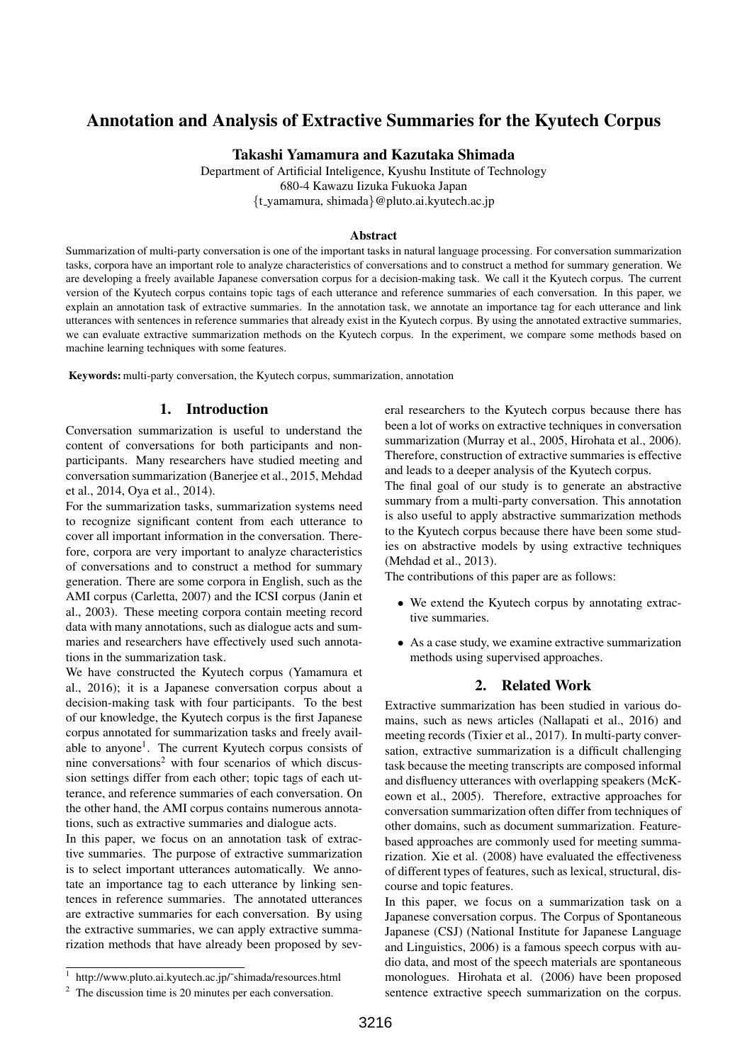# Annotation and Analysis of Extractive Summaries for the Kyutech Corpus

Takashi Yamamura and Kazutaka Shimada

Department of Artificial Inteligence, Kyushu Institute of Technology 680-4 Kawazu Iizuka Fukuoka Japan *{*t yamamura, shimada*}*@pluto.ai.kyutech.ac.jp

#### Abstract

Summarization of multi-party conversation is one of the important tasks in natural language processing. For conversation summarization tasks, corpora have an important role to analyze characteristics of conversations and to construct a method for summary generation. We are developing a freely available Japanese conversation corpus for a decision-making task. We call it the Kyutech corpus. The current version of the Kyutech corpus contains topic tags of each utterance and reference summaries of each conversation. In this paper, we explain an annotation task of extractive summaries. In the annotation task, we annotate an importance tag for each utterance and link utterances with sentences in reference summaries that already exist in the Kyutech corpus. By using the annotated extractive summaries, we can evaluate extractive summarization methods on the Kyutech corpus. In the experiment, we compare some methods based on machine learning techniques with some features.

Keywords: multi-party conversation, the Kyutech corpus, summarization, annotation

# 1. Introduction

Conversation summarization is useful to understand the content of conversations for both participants and nonparticipants. Many researchers have studied meeting and conversation summarization (Banerjee et al., 2015, Mehdad et al., 2014, Oya et al., 2014).

For the summarization tasks, summarization systems need to recognize significant content from each utterance to cover all important information in the conversation. Therefore, corpora are very important to analyze characteristics of conversations and to construct a method for summary generation. There are some corpora in English, such as the AMI corpus (Carletta, 2007) and the ICSI corpus (Janin et al., 2003). These meeting corpora contain meeting record data with many annotations, such as dialogue acts and summaries and researchers have effectively used such annotations in the summarization task.

We have constructed the Kyutech corpus (Yamamura et al., 2016); it is a Japanese conversation corpus about a decision-making task with four participants. To the best of our knowledge, the Kyutech corpus is the first Japanese corpus annotated for summarization tasks and freely available to anyone<sup>1</sup>. The current Kyutech corpus consists of nine conversations<sup>2</sup> with four scenarios of which discussion settings differ from each other; topic tags of each utterance, and reference summaries of each conversation. On the other hand, the AMI corpus contains numerous annotations, such as extractive summaries and dialogue acts.

In this paper, we focus on an annotation task of extractive summaries. The purpose of extractive summarization is to select important utterances automatically. We annotate an importance tag to each utterance by linking sentences in reference summaries. The annotated utterances are extractive summaries for each conversation. By using the extractive summaries, we can apply extractive summarization methods that have already been proposed by several researchers to the Kyutech corpus because there has been a lot of works on extractive techniques in conversation summarization (Murray et al., 2005, Hirohata et al., 2006). Therefore, construction of extractive summaries is effective and leads to a deeper analysis of the Kyutech corpus. The final goal of our study is to generate an abstractive

summary from a multi-party conversation. This annotation is also useful to apply abstractive summarization methods to the Kyutech corpus because there have been some studies on abstractive models by using extractive techniques (Mehdad et al., 2013).

The contributions of this paper are as follows:

- We extend the Kyutech corpus by annotating extractive summaries.
- *•* As a case study, we examine extractive summarization methods using supervised approaches.

# 2. Related Work

Extractive summarization has been studied in various domains, such as news articles (Nallapati et al., 2016) and meeting records (Tixier et al., 2017). In multi-party conversation, extractive summarization is a difficult challenging task because the meeting transcripts are composed informal and disfluency utterances with overlapping speakers (McKeown et al., 2005). Therefore, extractive approaches for conversation summarization often differ from techniques of other domains, such as document summarization. Featurebased approaches are commonly used for meeting summarization. Xie et al. (2008) have evaluated the effectiveness of different types of features, such as lexical, structural, discourse and topic features.

In this paper, we focus on a summarization task on a Japanese conversation corpus. The Corpus of Spontaneous Japanese (CSJ) (National Institute for Japanese Language and Linguistics, 2006) is a famous speech corpus with audio data, and most of the speech materials are spontaneous monologues. Hirohata et al. (2006) have been proposed sentence extractive speech summarization on the corpus.

<sup>&</sup>lt;sup>1</sup> http://www.pluto.ai.kyutech.ac.jp/~shimada/resources.html

 $2\degree$  The discussion time is 20 minutes per each conversation.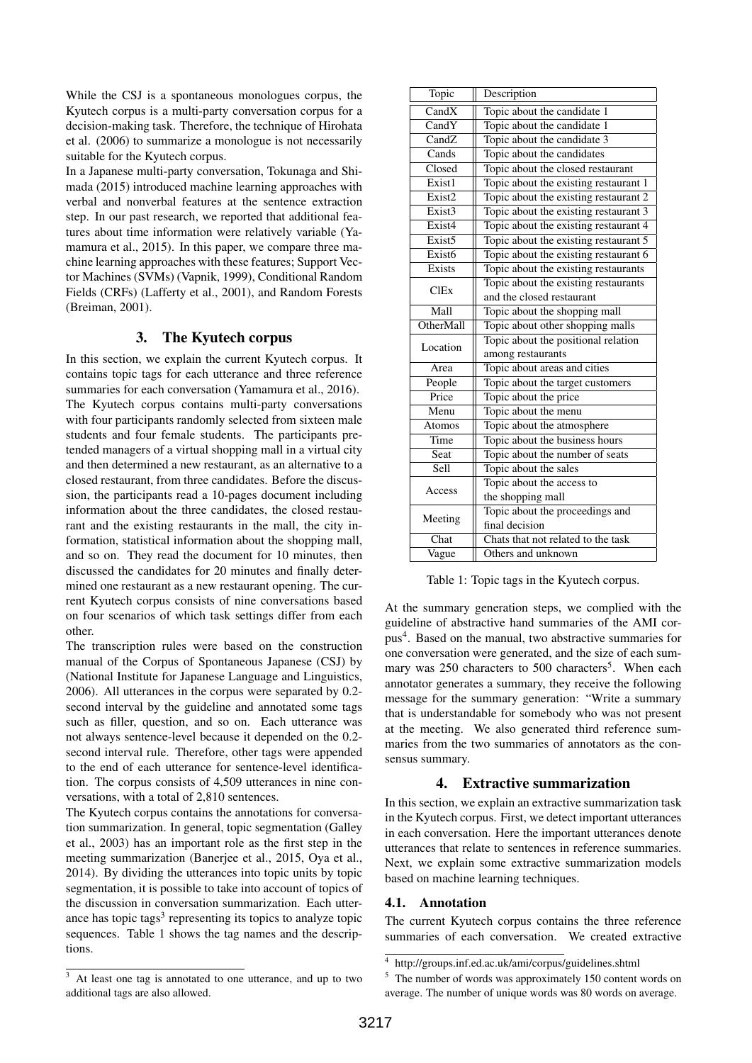While the CSJ is a spontaneous monologues corpus, the Kyutech corpus is a multi-party conversation corpus for a decision-making task. Therefore, the technique of Hirohata et al. (2006) to summarize a monologue is not necessarily suitable for the Kyutech corpus.

In a Japanese multi-party conversation, Tokunaga and Shimada (2015) introduced machine learning approaches with verbal and nonverbal features at the sentence extraction step. In our past research, we reported that additional features about time information were relatively variable (Yamamura et al., 2015). In this paper, we compare three machine learning approaches with these features; Support Vector Machines (SVMs) (Vapnik, 1999), Conditional Random Fields (CRFs) (Lafferty et al., 2001), and Random Forests (Breiman, 2001).

# 3. The Kyutech corpus

In this section, we explain the current Kyutech corpus. It contains topic tags for each utterance and three reference summaries for each conversation (Yamamura et al., 2016). The Kyutech corpus contains multi-party conversations with four participants randomly selected from sixteen male students and four female students. The participants pretended managers of a virtual shopping mall in a virtual city and then determined a new restaurant, as an alternative to a closed restaurant, from three candidates. Before the discussion, the participants read a 10-pages document including information about the three candidates, the closed restaurant and the existing restaurants in the mall, the city information, statistical information about the shopping mall, and so on. They read the document for 10 minutes, then discussed the candidates for 20 minutes and finally determined one restaurant as a new restaurant opening. The current Kyutech corpus consists of nine conversations based on four scenarios of which task settings differ from each other.

The transcription rules were based on the construction manual of the Corpus of Spontaneous Japanese (CSJ) by (National Institute for Japanese Language and Linguistics, 2006). All utterances in the corpus were separated by 0.2 second interval by the guideline and annotated some tags such as filler, question, and so on. Each utterance was not always sentence-level because it depended on the 0.2 second interval rule. Therefore, other tags were appended to the end of each utterance for sentence-level identification. The corpus consists of 4,509 utterances in nine conversations, with a total of 2,810 sentences.

The Kyutech corpus contains the annotations for conversation summarization. In general, topic segmentation (Galley et al., 2003) has an important role as the first step in the meeting summarization (Banerjee et al., 2015, Oya et al., 2014). By dividing the utterances into topic units by topic segmentation, it is possible to take into account of topics of the discussion in conversation summarization. Each utterance has topic tags<sup>3</sup> representing its topics to analyze topic sequences. Table 1 shows the tag names and the descriptions.

| Topic              | Description                           |  |  |
|--------------------|---------------------------------------|--|--|
| CandX              | Topic about the candidate 1           |  |  |
| CandY              | Topic about the candidate 1           |  |  |
| CandZ              | Topic about the candidate 3           |  |  |
| Cands              | Topic about the candidates            |  |  |
| Closed             | Topic about the closed restaurant     |  |  |
| Exist1             | Topic about the existing restaurant 1 |  |  |
| Exist <sub>2</sub> | Topic about the existing restaurant 2 |  |  |
| Exist <sub>3</sub> | Topic about the existing restaurant 3 |  |  |
| Exist4             | Topic about the existing restaurant 4 |  |  |
| Exist <sub>5</sub> | Topic about the existing restaurant 5 |  |  |
| Exist <sub>6</sub> | Topic about the existing restaurant 6 |  |  |
| Exists             | Topic about the existing restaurants  |  |  |
| <b>ClEx</b>        | Topic about the existing restaurants  |  |  |
|                    | and the closed restaurant             |  |  |
| Mall               | Topic about the shopping mall         |  |  |
| OtherMall          | Topic about other shopping malls      |  |  |
| Location           | Topic about the positional relation   |  |  |
|                    | among restaurants                     |  |  |
| Area               | Topic about areas and cities          |  |  |
| People             | Topic about the target customers      |  |  |
| Price              | Topic about the price                 |  |  |
| Menu               | Topic about the menu                  |  |  |
| <b>Atomos</b>      | Topic about the atmosphere            |  |  |
| Time               | Topic about the business hours        |  |  |
| Seat               | Topic about the number of seats       |  |  |
| <b>Sell</b>        | Topic about the sales                 |  |  |
| Access             | Topic about the access to             |  |  |
|                    | the shopping mall                     |  |  |
| Meeting            | Topic about the proceedings and       |  |  |
|                    | final decision                        |  |  |
| Chat               | Chats that not related to the task    |  |  |
| Vague              | Others and unknown                    |  |  |

Table 1: Topic tags in the Kyutech corpus.

At the summary generation steps, we complied with the guideline of abstractive hand summaries of the AMI corpus<sup>4</sup>. Based on the manual, two abstractive summaries for one conversation were generated, and the size of each summary was 250 characters to 500 characters<sup>5</sup>. When each annotator generates a summary, they receive the following message for the summary generation: "Write a summary that is understandable for somebody who was not present at the meeting. We also generated third reference summaries from the two summaries of annotators as the consensus summary.

# 4. Extractive summarization

In this section, we explain an extractive summarization task in the Kyutech corpus. First, we detect important utterances in each conversation. Here the important utterances denote utterances that relate to sentences in reference summaries. Next, we explain some extractive summarization models based on machine learning techniques.

# 4.1. Annotation

The current Kyutech corpus contains the three reference summaries of each conversation. We created extractive

 $\overline{3}$  At least one tag is annotated to one utterance, and up to two additional tags are also allowed.

<sup>4</sup> http://groups.inf.ed.ac.uk/ami/corpus/guidelines.shtml

<sup>&</sup>lt;sup>5</sup> The number of words was approximately 150 content words on average. The number of unique words was 80 words on average.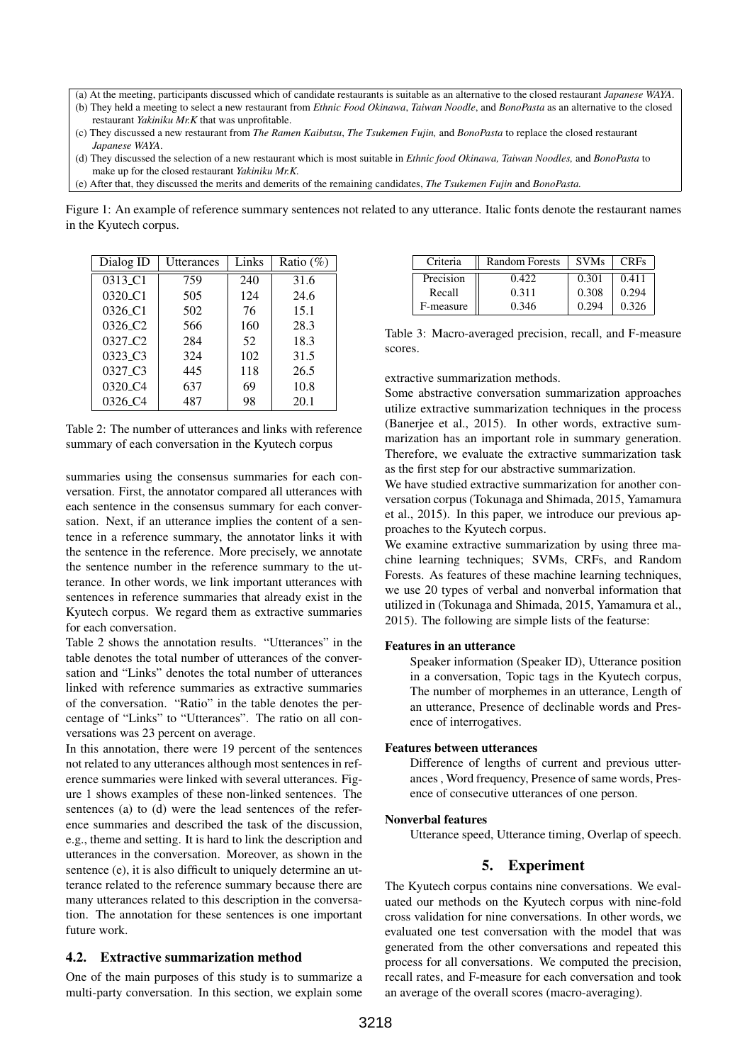(a) At the meeting, participants discussed which of candidate restaurants is suitable as an alternative to the closed restaurant *Japanese WAYA*.

- (b) They held a meeting to select a new restaurant from *Ethnic Food Okinawa*, *Taiwan Noodle*, and *BonoPasta* as an alternative to the closed restaurant *Yakiniku Mr.K* that was unprofitable.
- (c) They discussed a new restaurant from *The Ramen Kaibutsu*, *The Tsukemen Fujin,* and *BonoPasta* to replace the closed restaurant *Japanese WAYA*.
- (d) They discussed the selection of a new restaurant which is most suitable in *Ethnic food Okinawa, Taiwan Noodles,* and *BonoPasta* to make up for the closed restaurant *Yakiniku Mr.K.*
- (e) After that, they discussed the merits and demerits of the remaining candidates, *The Tsukemen Fujin* and *BonoPasta.*

Figure 1: An example of reference summary sentences not related to any utterance. Italic fonts denote the restaurant names in the Kyutech corpus.

| Dialog ID                        | Utterances | Links | Ratio (%) |
|----------------------------------|------------|-------|-----------|
| 0313_C1                          | 759        | 240   | 31.6      |
| 0320 <sub>-C1</sub>              | 505        | 124   | 24.6      |
| 0326 <sub>-C1</sub>              | 502        | 76    | 15.1      |
| 0326 <sub>-</sub> C <sub>2</sub> | 566        | 160   | 28.3      |
| 0327 C <sub>2</sub>              | 284        | 52    | 18.3      |
| 0323 <sub>-C3</sub>              | 324        | 102   | 31.5      |
| 0327 C <sub>3</sub>              | 445        | 118   | 26.5      |
| 0320 C <sub>4</sub>              | 637        | 69    | 10.8      |
| 0326 <sub>-</sub> C4             | 487        | 98    | 20.1      |

Table 2: The number of utterances and links with reference summary of each conversation in the Kyutech corpus

summaries using the consensus summaries for each conversation. First, the annotator compared all utterances with each sentence in the consensus summary for each conversation. Next, if an utterance implies the content of a sentence in a reference summary, the annotator links it with the sentence in the reference. More precisely, we annotate the sentence number in the reference summary to the utterance. In other words, we link important utterances with sentences in reference summaries that already exist in the Kyutech corpus. We regard them as extractive summaries for each conversation.

Table 2 shows the annotation results. "Utterances" in the table denotes the total number of utterances of the conversation and "Links" denotes the total number of utterances linked with reference summaries as extractive summaries of the conversation. "Ratio" in the table denotes the percentage of "Links" to "Utterances". The ratio on all conversations was 23 percent on average.

In this annotation, there were 19 percent of the sentences not related to any utterances although most sentences in reference summaries were linked with several utterances. Figure 1 shows examples of these non-linked sentences. The sentences (a) to (d) were the lead sentences of the reference summaries and described the task of the discussion, e.g., theme and setting. It is hard to link the description and utterances in the conversation. Moreover, as shown in the sentence (e), it is also difficult to uniquely determine an utterance related to the reference summary because there are many utterances related to this description in the conversation. The annotation for these sentences is one important future work.

### 4.2. Extractive summarization method

One of the main purposes of this study is to summarize a multi-party conversation. In this section, we explain some

| Criteria  | <b>Random Forests</b> | <b>SVMs</b> | <b>CRFs</b> |
|-----------|-----------------------|-------------|-------------|
| Precision | 0.422                 | 0.301       | 0.411       |
| Recall    | 0.311                 | 0.308       | 0.294       |
| F-measure | 0.346                 | 0.294       | 0.326       |

Table 3: Macro-averaged precision, recall, and F-measure scores.

#### extractive summarization methods.

Some abstractive conversation summarization approaches utilize extractive summarization techniques in the process (Banerjee et al., 2015). In other words, extractive summarization has an important role in summary generation. Therefore, we evaluate the extractive summarization task as the first step for our abstractive summarization.

We have studied extractive summarization for another conversation corpus (Tokunaga and Shimada, 2015, Yamamura et al., 2015). In this paper, we introduce our previous approaches to the Kyutech corpus.

We examine extractive summarization by using three machine learning techniques; SVMs, CRFs, and Random Forests. As features of these machine learning techniques, we use 20 types of verbal and nonverbal information that utilized in (Tokunaga and Shimada, 2015, Yamamura et al., 2015). The following are simple lists of the featurse:

#### Features in an utterance

Speaker information (Speaker ID), Utterance position in a conversation, Topic tags in the Kyutech corpus, The number of morphemes in an utterance, Length of an utterance, Presence of declinable words and Presence of interrogatives.

#### Features between utterances

Difference of lengths of current and previous utterances , Word frequency, Presence of same words, Presence of consecutive utterances of one person.

#### Nonverbal features

Utterance speed, Utterance timing, Overlap of speech.

# 5. Experiment

The Kyutech corpus contains nine conversations. We evaluated our methods on the Kyutech corpus with nine-fold cross validation for nine conversations. In other words, we evaluated one test conversation with the model that was generated from the other conversations and repeated this process for all conversations. We computed the precision, recall rates, and F-measure for each conversation and took an average of the overall scores (macro-averaging).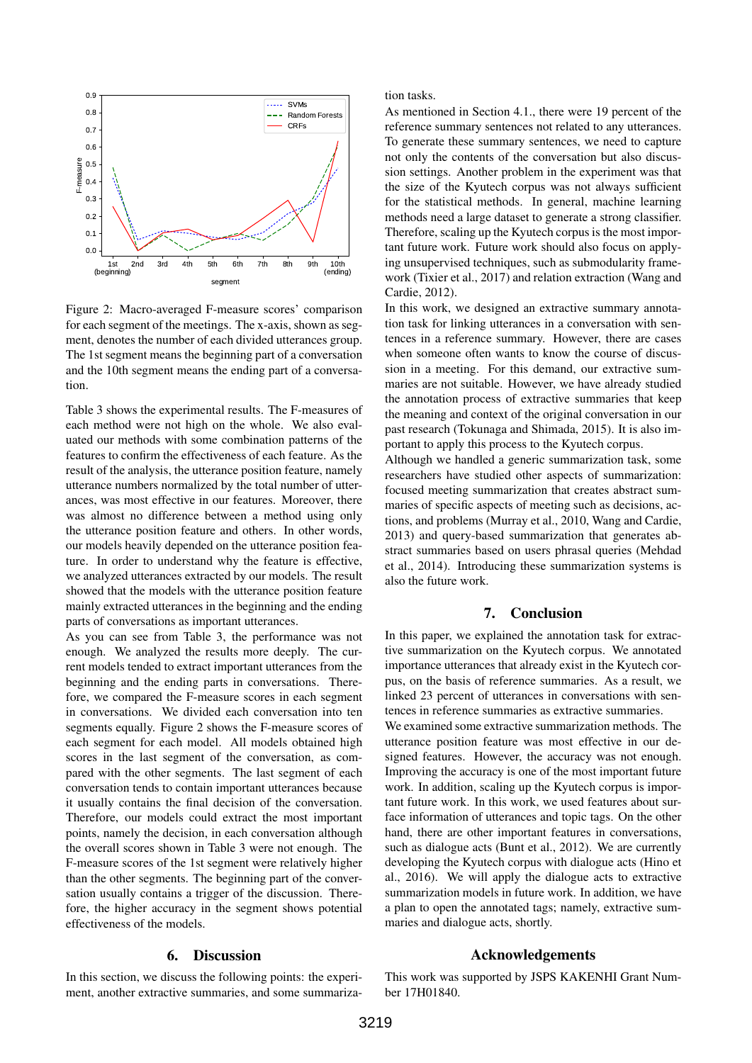

Figure 2: Macro-averaged F-measure scores' comparison for each segment of the meetings. The x-axis, shown as segment, denotes the number of each divided utterances group. The 1st segment means the beginning part of a conversation and the 10th segment means the ending part of a conversation.

Table 3 shows the experimental results. The F-measures of each method were not high on the whole. We also evaluated our methods with some combination patterns of the features to confirm the effectiveness of each feature. As the result of the analysis, the utterance position feature, namely utterance numbers normalized by the total number of utterances, was most effective in our features. Moreover, there was almost no difference between a method using only the utterance position feature and others. In other words, our models heavily depended on the utterance position feature. In order to understand why the feature is effective, we analyzed utterances extracted by our models. The result showed that the models with the utterance position feature mainly extracted utterances in the beginning and the ending parts of conversations as important utterances.

As you can see from Table 3, the performance was not enough. We analyzed the results more deeply. The current models tended to extract important utterances from the beginning and the ending parts in conversations. Therefore, we compared the F-measure scores in each segment in conversations. We divided each conversation into ten segments equally. Figure 2 shows the F-measure scores of each segment for each model. All models obtained high scores in the last segment of the conversation, as compared with the other segments. The last segment of each conversation tends to contain important utterances because it usually contains the final decision of the conversation. Therefore, our models could extract the most important points, namely the decision, in each conversation although the overall scores shown in Table 3 were not enough. The F-measure scores of the 1st segment were relatively higher than the other segments. The beginning part of the conversation usually contains a trigger of the discussion. Therefore, the higher accuracy in the segment shows potential effectiveness of the models.

#### 6. Discussion

In this section, we discuss the following points: the experiment, another extractive summaries, and some summarization tasks.

As mentioned in Section 4.1., there were 19 percent of the reference summary sentences not related to any utterances. To generate these summary sentences, we need to capture not only the contents of the conversation but also discussion settings. Another problem in the experiment was that the size of the Kyutech corpus was not always sufficient for the statistical methods. In general, machine learning methods need a large dataset to generate a strong classifier. Therefore, scaling up the Kyutech corpus is the most important future work. Future work should also focus on applying unsupervised techniques, such as submodularity framework (Tixier et al., 2017) and relation extraction (Wang and Cardie, 2012).

In this work, we designed an extractive summary annotation task for linking utterances in a conversation with sentences in a reference summary. However, there are cases when someone often wants to know the course of discussion in a meeting. For this demand, our extractive summaries are not suitable. However, we have already studied the annotation process of extractive summaries that keep the meaning and context of the original conversation in our past research (Tokunaga and Shimada, 2015). It is also important to apply this process to the Kyutech corpus.

Although we handled a generic summarization task, some researchers have studied other aspects of summarization: focused meeting summarization that creates abstract summaries of specific aspects of meeting such as decisions, actions, and problems (Murray et al., 2010, Wang and Cardie, 2013) and query-based summarization that generates abstract summaries based on users phrasal queries (Mehdad et al., 2014). Introducing these summarization systems is also the future work.

# 7. Conclusion

In this paper, we explained the annotation task for extractive summarization on the Kyutech corpus. We annotated importance utterances that already exist in the Kyutech corpus, on the basis of reference summaries. As a result, we linked 23 percent of utterances in conversations with sentences in reference summaries as extractive summaries.

We examined some extractive summarization methods. The utterance position feature was most effective in our designed features. However, the accuracy was not enough. Improving the accuracy is one of the most important future work. In addition, scaling up the Kyutech corpus is important future work. In this work, we used features about surface information of utterances and topic tags. On the other hand, there are other important features in conversations, such as dialogue acts (Bunt et al., 2012). We are currently developing the Kyutech corpus with dialogue acts (Hino et al., 2016). We will apply the dialogue acts to extractive summarization models in future work. In addition, we have a plan to open the annotated tags; namely, extractive summaries and dialogue acts, shortly.

#### Acknowledgements

This work was supported by JSPS KAKENHI Grant Number 17H01840.